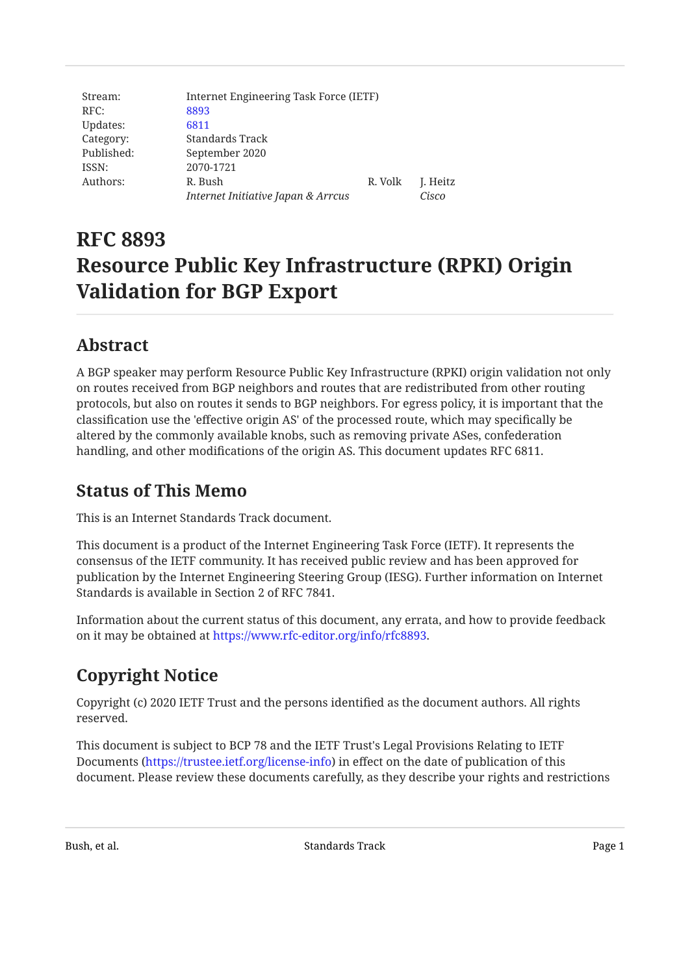| Stream:    | Internet Engineering Task Force (IETF) |         |        |
|------------|----------------------------------------|---------|--------|
| RFC:       | 8893                                   |         |        |
| Updates:   | 6811                                   |         |        |
| Category:  | Standards Track                        |         |        |
| Published: | September 2020                         |         |        |
| ISSN:      | 2070-1721                              |         |        |
| Authors:   | R. Bush                                | R. Volk | J. Hei |
|            | Internet Initiative Japan & Arrcus     |         | Cisco  |

# **RFC 8893 Resource Public Key Infrastructure (RPKI) Origin Validation for BGP Export**

**Heitz** 

# <span id="page-0-0"></span>**[Abstract](#page-0-0)**

A BGP speaker may perform Resource Public Key Infrastructure (RPKI) origin validation not only on routes received from BGP neighbors and routes that are redistributed from other routing protocols, but also on routes it sends to BGP neighbors. For egress policy, it is important that the classification use the 'effective origin AS' of the processed route, which may specifically be altered by the commonly available knobs, such as removing private ASes, confederation handling, and other modifications of the origin AS. This document updates RFC 6811.

#### <span id="page-0-1"></span>**[Status of This Memo](#page-0-1)**

This is an Internet Standards Track document.

This document is a product of the Internet Engineering Task Force (IETF). It represents the consensus of the IETF community. It has received public review and has been approved for publication by the Internet Engineering Steering Group (IESG). Further information on Internet Standards is available in Section 2 of RFC 7841.

<span id="page-0-2"></span>Information about the current status of this document, any errata, and how to provide feedback on it may be obtained at <https://www.rfc-editor.org/info/rfc8893>.

# **[Copyright Notice](#page-0-2)**

Copyright (c) 2020 IETF Trust and the persons identified as the document authors. All rights reserved.

This document is subject to BCP 78 and the IETF Trust's Legal Provisions Relating to IETF Documents (<https://trustee.ietf.org/license-info>) in effect on the date of publication of this document. Please review these documents carefully, as they describe your rights and restrictions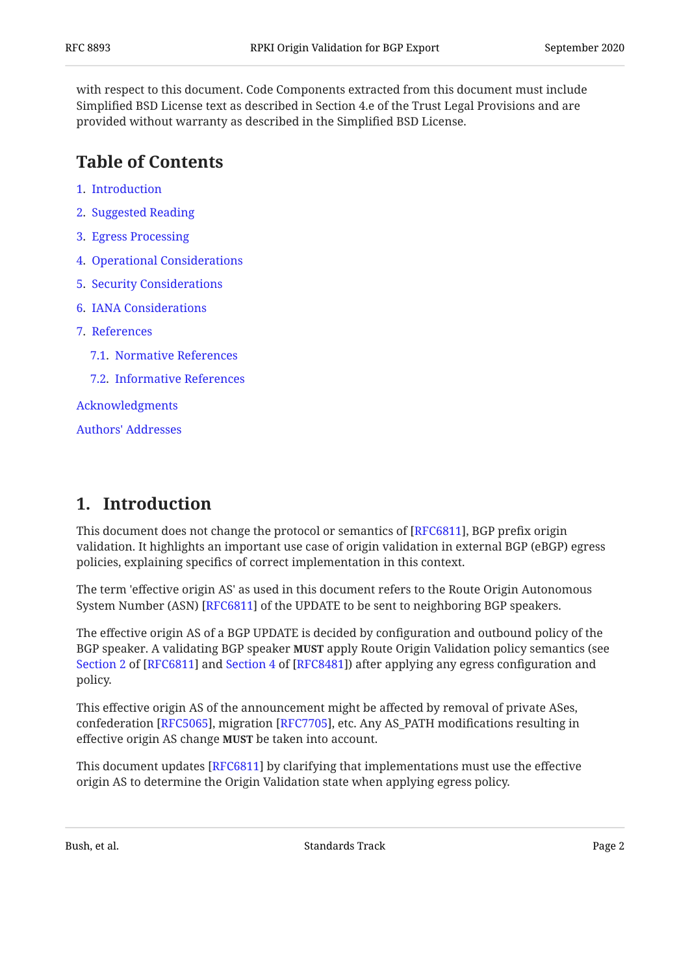with respect to this document. Code Components extracted from this document must include Simplified BSD License text as described in Section 4.e of the Trust Legal Provisions and are provided without warranty as described in the Simplified BSD License.

#### <span id="page-1-0"></span>**[Table of Contents](#page-1-0)**

- [1.](#page-1-1) [Introduction](#page-1-1)
- [2.](#page-2-0) [Suggested Reading](#page-2-0)
- [3.](#page-2-1) [Egress Processing](#page-2-1)
- [4.](#page-2-2) [Operational Considerations](#page-2-2)
- [5.](#page-2-3) [Security Considerations](#page-2-3)
- [6.](#page-2-4) [IANA Considerations](#page-2-4)
- [7.](#page-3-0) [References](#page-3-0)
	- [7.1.](#page-3-1) [Normative References](#page-3-1)
	- [7.2.](#page-3-2) [Informative References](#page-3-2)

[Acknowledgments](#page-3-3)

[Authors' Addresses](#page-4-0)

### <span id="page-1-1"></span>**[1. Introduction](#page-1-1)**

This document does not change the protocol or semantics of [[RFC6811\]](#page-3-4), BGP prefix origin validation. It highlights an important use case of origin validation in external BGP (eBGP) egress policies, explaining specifics of correct implementation in this context.

The term 'effective origin AS' as used in this document refers to the Route Origin Autonomous System Number (ASN) [[RFC6811\]](#page-3-4) of the UPDATE to be sent to neighboring BGP speakers.

The effective origin AS of a BGP UPDATE is decided by configuration and outbound policy of the BGP speaker. A validating BGP speaker **MUST** apply Route Origin Validation policy semantics (see [Section 2](https://www.rfc-editor.org/rfc/rfc6811#section-2) of [\[RFC6811\]](#page-3-4) and Section 4 of [RFC8481]) after applying any egress configuration and policy.

This effective origin AS of the announcement might be affected by removal of private ASes, confederation [RFC5065], migration [RFC7705], etc. Any AS\_PATH modifications resulting in effective origin AS change **MUST** be taken into account.

This document updates [RFC6811] by clarifying that implementations must use the effective  $\,$ origin AS to determine the Origin Validation state when applying egress policy.

Bush, et al. Standards Track Page 2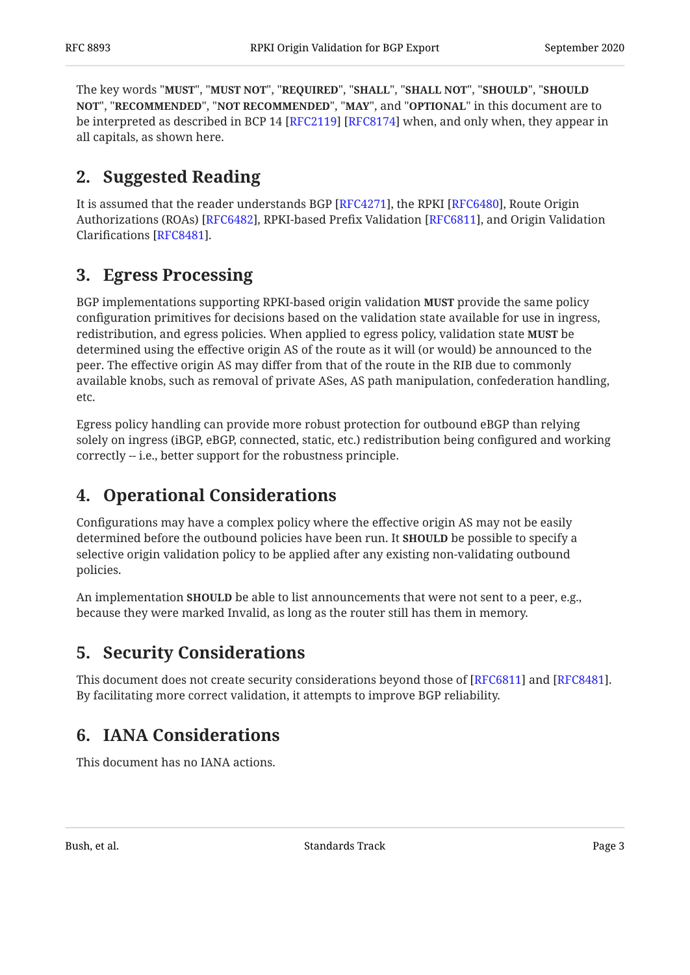The key words "MUST", "MUST NOT", "REQUIRED", "SHALL", "SHALL NOT", "SHOULD", "SHOULD <code>NOT",</code> "<code>RECOMMENDED", "NOT RECOMMENDED", "MAY", and "OPTIONAL" in this document are to</code> be interpreted as described in BCP 14 [RFC2119] [RFC8174] when, and only when, they appear in all capitals, as shown here.

# <span id="page-2-0"></span>**[2. Suggested Reading](#page-2-0)**

It is assumed that the reader understands BGP [RFC4271], the RPKI [RFC6480], Route Origin Authorizations (ROAs) [RFC6482], RPKI-based Prefix Validation [RFC6811], and Origin Validation Clarifications [RFC8481].

# <span id="page-2-1"></span>**[3. Egress Processing](#page-2-1)**

BGP implementations supporting RPKI-based origin validation **MUST** provide the same policy configuration primitives for decisions based on the validation state available for use in ingress, redistribution, and egress policies. When applied to egress policy, validation state **MUST** be determined using the effective origin AS of the route as it will (or would) be announced to the peer. The effective origin AS may differ from that of the route in the RIB due to commonly available knobs, such as removal of private ASes, AS path manipulation, confederation handling, etc.

Egress policy handling can provide more robust protection for outbound eBGP than relying solely on ingress (iBGP, eBGP, connected, static, etc.) redistribution being configured and working correctly -- i.e., better support for the robustness principle.

# <span id="page-2-2"></span>**[4. Operational Considerations](#page-2-2)**

Configurations may have a complex policy where the effective origin AS may not be easily determined before the outbound policies have been run. It **SHOULD** be possible to specify a selective origin validation policy to be applied after any existing non-validating outbound policies.

<span id="page-2-3"></span>An implementation **SHOULD** be able to list announcements that were not sent to a peer, e.g., because they were marked Invalid, as long as the router still has them in memory.

### **[5. Security Considerations](#page-2-3)**

<span id="page-2-4"></span>This document does not create security considerations beyond those of [RFC6811] and [RFC8481].  $\,$ By facilitating more correct validation, it attempts to improve BGP reliability.

### **[6. IANA Considerations](#page-2-4)**

This document has no IANA actions.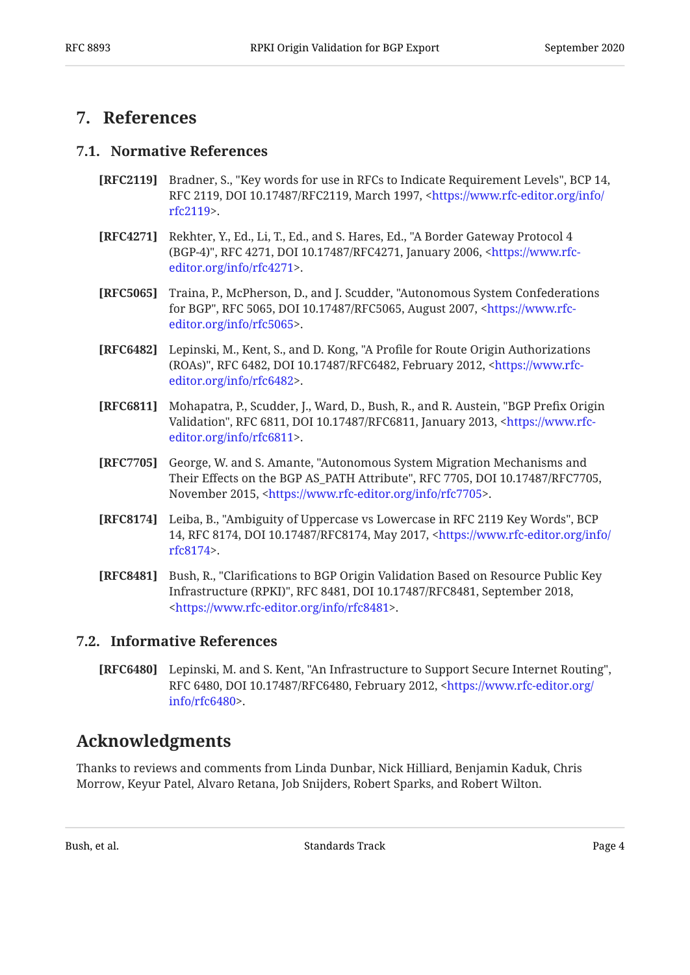#### <span id="page-3-1"></span><span id="page-3-0"></span>**[7. References](#page-3-0)**

#### **[7.1. Normative References](#page-3-1)**

- <span id="page-3-8"></span>**[RFC2119]** Bradner, S., "Key words for use in RFCs to Indicate Requirement Levels", BCP 14, RFC 2119, DOI 10.17487/RFC2119, March 1997, <[https://www.rfc-editor.org/info/](https://www.rfc-editor.org/info/rfc2119) . [rfc2119>](https://www.rfc-editor.org/info/rfc2119)
- <span id="page-3-10"></span>**[RFC4271]** Rekhter, Y., Ed., Li, T., Ed., and S. Hares, Ed., "A Border Gateway Protocol 4 (BGP-4)", RFC 4271, DOI 10.17487/RFC4271, January 2006, [<https://www.rfc-](https://www.rfc-editor.org/info/rfc4271). [editor.org/info/rfc4271>](https://www.rfc-editor.org/info/rfc4271)
- <span id="page-3-6"></span>**[RFC5065]** Traina, P., McPherson, D., and J. Scudder, "Autonomous System Confederations for BGP", RFC 5065, DOI 10.17487/RFC5065, August 2007, [<https://www.rfc-](https://www.rfc-editor.org/info/rfc5065). [editor.org/info/rfc5065>](https://www.rfc-editor.org/info/rfc5065)
- <span id="page-3-12"></span>**[RFC6482]** Lepinski, M., Kent, S., and D. Kong, "A Profile for Route Origin Authorizations (ROAs)", RFC 6482, DOI 10.17487/RFC6482, February 2012, [<https://www.rfc-](https://www.rfc-editor.org/info/rfc6482). [editor.org/info/rfc6482>](https://www.rfc-editor.org/info/rfc6482)
- <span id="page-3-4"></span>**[RFC6811]** Mohapatra, P., Scudder, J., Ward, D., Bush, R., and R. Austein, "BGP Prefix Origin Validation", RFC 6811, DOI 10.17487/RFC6811, January 2013, [<https://www.rfc-](https://www.rfc-editor.org/info/rfc6811). [editor.org/info/rfc6811>](https://www.rfc-editor.org/info/rfc6811)
- <span id="page-3-7"></span>**[RFC7705]** George, W. and S. Amante, "Autonomous System Migration Mechanisms and Their Effects on the BGP AS\_PATH Attribute", RFC 7705, DOI 10.17487/RFC7705, November 2015, <https://www.rfc-editor.org/info/rfc7705>.
- <span id="page-3-9"></span>**[RFC8174]** Leiba, B., "Ambiguity of Uppercase vs Lowercase in RFC 2119 Key Words", BCP 14, RFC 8174, DOI 10.17487/RFC8174, May 2017, [<https://www.rfc-editor.org/info/](https://www.rfc-editor.org/info/rfc8174) . [rfc8174>](https://www.rfc-editor.org/info/rfc8174)
- <span id="page-3-5"></span>**[RFC8481]** Bush, R., "Clarifications to BGP Origin Validation Based on Resource Public Key Infrastructure (RPKI)", RFC 8481, DOI 10.17487/RFC8481, September 2018, . [<https://www.rfc-editor.org/info/rfc8481](https://www.rfc-editor.org/info/rfc8481)>

#### <span id="page-3-2"></span>**[7.2. Informative References](#page-3-2)**

<span id="page-3-11"></span>**[RFC6480]** Lepinski, M. and S. Kent, "An Infrastructure to Support Secure Internet Routing", RFC 6480, DOI 10.17487/RFC6480, February 2012, <[https://www.rfc-editor.org/](https://www.rfc-editor.org/info/rfc6480) . [info/rfc6480>](https://www.rfc-editor.org/info/rfc6480)

#### <span id="page-3-3"></span>**[Acknowledgments](#page-3-3)**

Thanks to reviews and comments from Linda Dunbar, Nick Hilliard, Benjamin Kaduk, Chris Morrow, Keyur Patel, Alvaro Retana, Job Snijders, Robert Sparks, and Robert Wilton.

Bush, et al. **Example 2 Bush, et al.** Standards Track Page 4